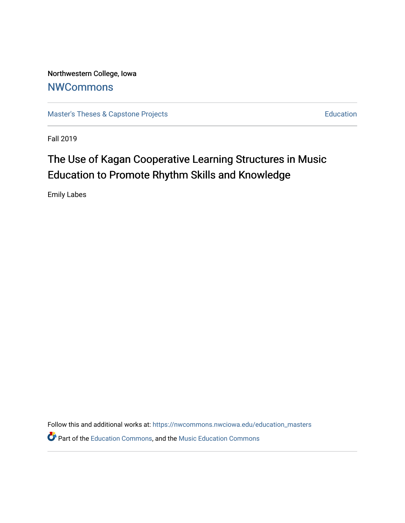Northwestern College, Iowa **[NWCommons](https://nwcommons.nwciowa.edu/)** 

[Master's Theses & Capstone Projects](https://nwcommons.nwciowa.edu/education_masters) **Education** Education

Fall 2019

# The Use of Kagan Cooperative Learning Structures in Music Education to Promote Rhythm Skills and Knowledge

Emily Labes

Follow this and additional works at: [https://nwcommons.nwciowa.edu/education\\_masters](https://nwcommons.nwciowa.edu/education_masters?utm_source=nwcommons.nwciowa.edu%2Feducation_masters%2F179&utm_medium=PDF&utm_campaign=PDFCoverPages)

**P** Part of the [Education Commons](http://network.bepress.com/hgg/discipline/784?utm_source=nwcommons.nwciowa.edu%2Feducation_masters%2F179&utm_medium=PDF&utm_campaign=PDFCoverPages), and the Music Education Commons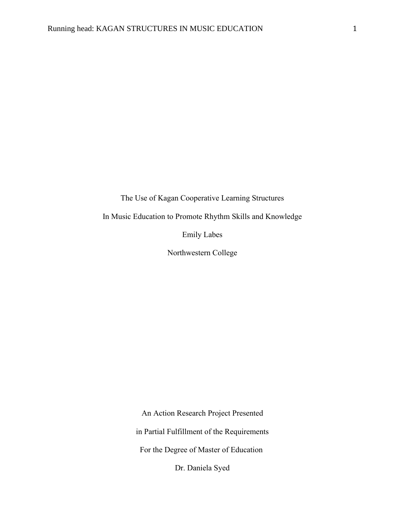The Use of Kagan Cooperative Learning Structures

In Music Education to Promote Rhythm Skills and Knowledge

Emily Labes

Northwestern College

An Action Research Project Presented in Partial Fulfillment of the Requirements For the Degree of Master of Education

Dr. Daniela Syed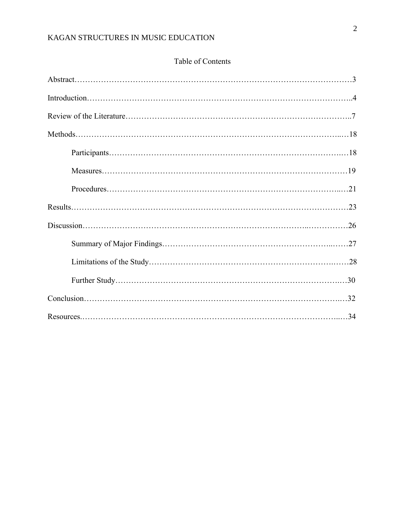# Table of Contents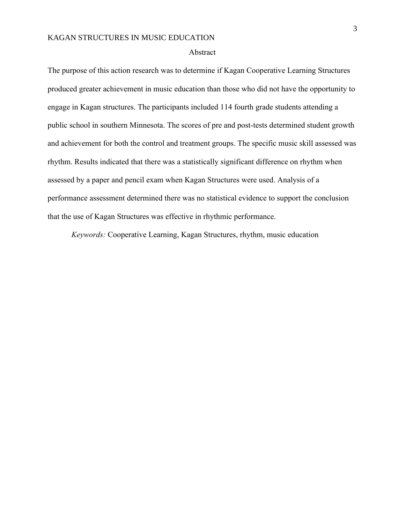#### Abstract

The purpose of this action research was to determine if Kagan Cooperative Learning Structures produced greater achievement in music education than those who did not have the opportunity to engage in Kagan structures. The participants included 114 fourth grade students attending a public school in southern Minnesota. The scores of pre and post-tests determined student growth and achievement for both the control and treatment groups. The specific music skill assessed was rhythm. Results indicated that there was a statistically significant difference on rhythm when assessed by a paper and pencil exam when Kagan Structures were used. Analysis of a performance assessment determined there was no statistical evidence to support the conclusion that the use of Kagan Structures was effective in rhythmic performance.

*Keywords:* Cooperative Learning, Kagan Structures, rhythm, music education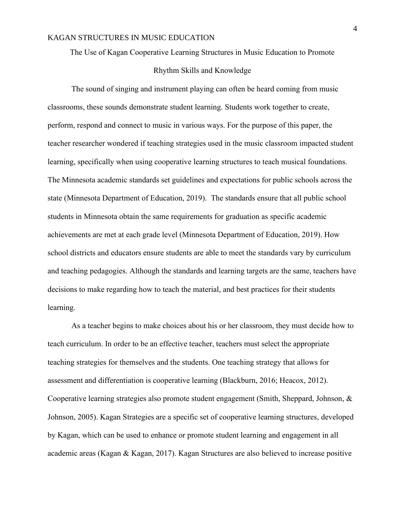## The Use of Kagan Cooperative Learning Structures in Music Education to Promote

### Rhythm Skills and Knowledge

The sound of singing and instrument playing can often be heard coming from music classrooms, these sounds demonstrate student learning. Students work together to create, perform, respond and connect to music in various ways. For the purpose of this paper, the teacher researcher wondered if teaching strategies used in the music classroom impacted student learning, specifically when using cooperative learning structures to teach musical foundations. The Minnesota academic standards set guidelines and expectations for public schools across the state (Minnesota Department of Education, 2019). The standards ensure that all public school students in Minnesota obtain the same requirements for graduation as specific academic achievements are met at each grade level (Minnesota Department of Education, 2019). How school districts and educators ensure students are able to meet the standards vary by curriculum and teaching pedagogies. Although the standards and learning targets are the same, teachers have decisions to make regarding how to teach the material, and best practices for their students learning.

As a teacher begins to make choices about his or her classroom, they must decide how to teach curriculum. In order to be an effective teacher, teachers must select the appropriate teaching strategies for themselves and the students. One teaching strategy that allows for assessment and differentiation is cooperative learning (Blackburn, 2016; Heacox, 2012). Cooperative learning strategies also promote student engagement (Smith, Sheppard, Johnson, & Johnson, 2005). Kagan Strategies are a specific set of cooperative learning structures, developed by Kagan, which can be used to enhance or promote student learning and engagement in all academic areas (Kagan & Kagan, 2017). Kagan Structures are also believed to increase positive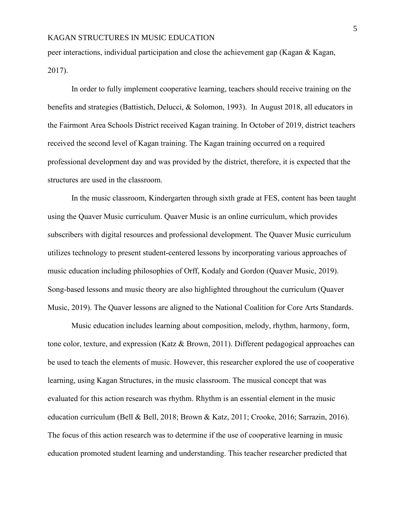peer interactions, individual participation and close the achievement gap (Kagan & Kagan, 2017).

In order to fully implement cooperative learning, teachers should receive training on the benefits and strategies (Battistich, Delucci, & Solomon, 1993). In August 2018, all educators in the Fairmont Area Schools District received Kagan training. In October of 2019, district teachers received the second level of Kagan training. The Kagan training occurred on a required professional development day and was provided by the district, therefore, it is expected that the structures are used in the classroom.

In the music classroom, Kindergarten through sixth grade at FES, content has been taught using the Quaver Music curriculum. Quaver Music is an online curriculum, which provides subscribers with digital resources and professional development. The Quaver Music curriculum utilizes technology to present student-centered lessons by incorporating various approaches of music education including philosophies of Orff, Kodaly and Gordon (Quaver Music, 2019). Song-based lessons and music theory are also highlighted throughout the curriculum (Quaver Music, 2019). The Quaver lessons are aligned to the National Coalition for Core Arts Standards.

Music education includes learning about composition, melody, rhythm, harmony, form, tone color, texture, and expression (Katz & Brown, 2011). Different pedagogical approaches can be used to teach the elements of music. However, this researcher explored the use of cooperative learning, using Kagan Structures, in the music classroom. The musical concept that was evaluated for this action research was rhythm. Rhythm is an essential element in the music education curriculum (Bell & Bell, 2018; Brown & Katz, 2011; Crooke, 2016; Sarrazin, 2016). The focus of this action research was to determine if the use of cooperative learning in music education promoted student learning and understanding. This teacher researcher predicted that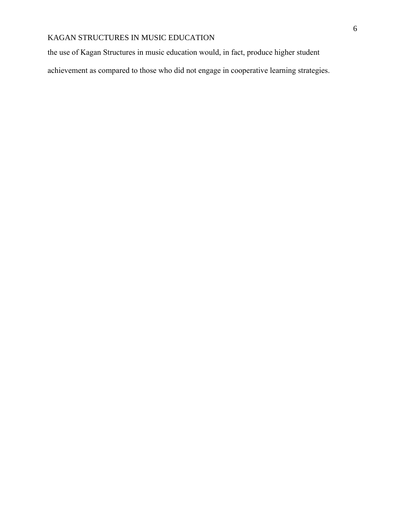the use of Kagan Structures in music education would, in fact, produce higher student

achievement as compared to those who did not engage in cooperative learning strategies.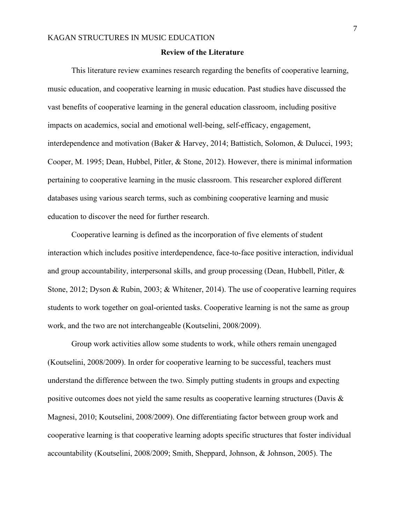## **Review of the Literature**

This literature review examines research regarding the benefits of cooperative learning, music education, and cooperative learning in music education. Past studies have discussed the vast benefits of cooperative learning in the general education classroom, including positive impacts on academics, social and emotional well-being, self-efficacy, engagement, interdependence and motivation (Baker & Harvey, 2014; Battistich, Solomon, & Dulucci, 1993; Cooper, M. 1995; Dean, Hubbel, Pitler, & Stone, 2012). However, there is minimal information pertaining to cooperative learning in the music classroom. This researcher explored different databases using various search terms, such as combining cooperative learning and music education to discover the need for further research.

Cooperative learning is defined as the incorporation of five elements of student interaction which includes positive interdependence, face-to-face positive interaction, individual and group accountability, interpersonal skills, and group processing (Dean, Hubbell, Pitler, & Stone, 2012; Dyson & Rubin, 2003; & Whitener, 2014). The use of cooperative learning requires students to work together on goal-oriented tasks. Cooperative learning is not the same as group work, and the two are not interchangeable (Koutselini, 2008/2009).

Group work activities allow some students to work, while others remain unengaged (Koutselini, 2008/2009). In order for cooperative learning to be successful, teachers must understand the difference between the two. Simply putting students in groups and expecting positive outcomes does not yield the same results as cooperative learning structures (Davis & Magnesi, 2010; Koutselini, 2008/2009). One differentiating factor between group work and cooperative learning is that cooperative learning adopts specific structures that foster individual accountability (Koutselini, 2008/2009; Smith, Sheppard, Johnson, & Johnson, 2005). The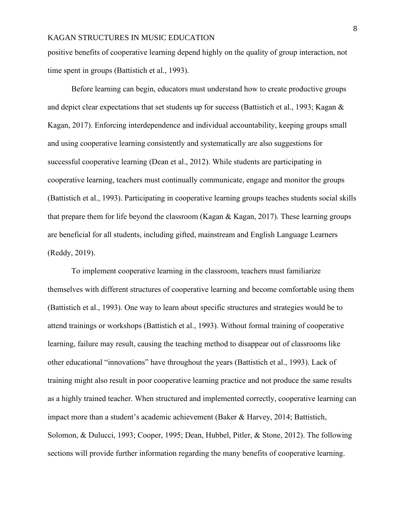positive benefits of cooperative learning depend highly on the quality of group interaction, not time spent in groups (Battistich et al., 1993).

Before learning can begin, educators must understand how to create productive groups and depict clear expectations that set students up for success (Battistich et al., 1993; Kagan & Kagan, 2017). Enforcing interdependence and individual accountability, keeping groups small and using cooperative learning consistently and systematically are also suggestions for successful cooperative learning (Dean et al., 2012). While students are participating in cooperative learning, teachers must continually communicate, engage and monitor the groups (Battistich et al., 1993). Participating in cooperative learning groups teaches students social skills that prepare them for life beyond the classroom (Kagan & Kagan, 2017). These learning groups are beneficial for all students, including gifted, mainstream and English Language Learners (Reddy, 2019).

To implement cooperative learning in the classroom, teachers must familiarize themselves with different structures of cooperative learning and become comfortable using them (Battistich et al., 1993). One way to learn about specific structures and strategies would be to attend trainings or workshops (Battistich et al., 1993). Without formal training of cooperative learning, failure may result, causing the teaching method to disappear out of classrooms like other educational "innovations" have throughout the years (Battistich et al., 1993). Lack of training might also result in poor cooperative learning practice and not produce the same results as a highly trained teacher. When structured and implemented correctly, cooperative learning can impact more than a student's academic achievement (Baker & Harvey, 2014; Battistich, Solomon, & Dulucci, 1993; Cooper, 1995; Dean, Hubbel, Pitler, & Stone, 2012). The following sections will provide further information regarding the many benefits of cooperative learning.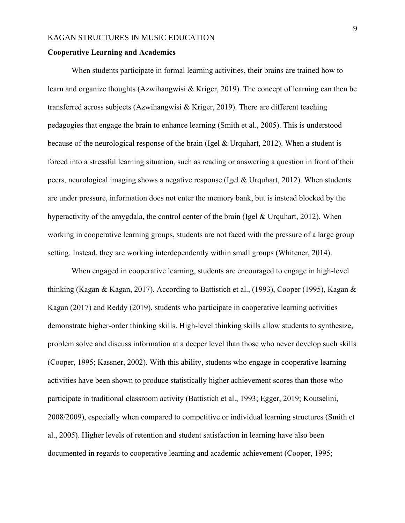#### **Cooperative Learning and Academics**

When students participate in formal learning activities, their brains are trained how to learn and organize thoughts (Azwihangwisi & Kriger, 2019). The concept of learning can then be transferred across subjects (Azwihangwisi & Kriger, 2019). There are different teaching pedagogies that engage the brain to enhance learning (Smith et al., 2005). This is understood because of the neurological response of the brain (Igel & Urquhart, 2012). When a student is forced into a stressful learning situation, such as reading or answering a question in front of their peers, neurological imaging shows a negative response (Igel & Urquhart, 2012). When students are under pressure, information does not enter the memory bank, but is instead blocked by the hyperactivity of the amygdala, the control center of the brain (Igel & Urquhart, 2012). When working in cooperative learning groups, students are not faced with the pressure of a large group setting. Instead, they are working interdependently within small groups (Whitener, 2014).

When engaged in cooperative learning, students are encouraged to engage in high-level thinking (Kagan & Kagan, 2017). According to Battistich et al., (1993), Cooper (1995), Kagan & Kagan (2017) and Reddy (2019), students who participate in cooperative learning activities demonstrate higher-order thinking skills. High-level thinking skills allow students to synthesize, problem solve and discuss information at a deeper level than those who never develop such skills (Cooper, 1995; Kassner, 2002). With this ability, students who engage in cooperative learning activities have been shown to produce statistically higher achievement scores than those who participate in traditional classroom activity (Battistich et al., 1993; Egger, 2019; Koutselini, 2008/2009), especially when compared to competitive or individual learning structures (Smith et al., 2005). Higher levels of retention and student satisfaction in learning have also been documented in regards to cooperative learning and academic achievement (Cooper, 1995;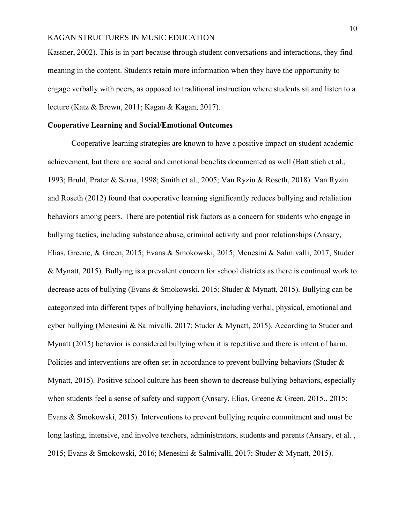Kassner, 2002). This is in part because through student conversations and interactions, they find meaning in the content. Students retain more information when they have the opportunity to engage verbally with peers, as opposed to traditional instruction where students sit and listen to a lecture (Katz & Brown, 2011; Kagan & Kagan, 2017).

#### **Cooperative Learning and Social/Emotional Outcomes**

Cooperative learning strategies are known to have a positive impact on student academic achievement, but there are social and emotional benefits documented as well (Battistich et al., 1993; Bruhl, Prater & Serna, 1998; Smith et al., 2005; Van Ryzin & Roseth, 2018). Van Ryzin and Roseth (2012) found that cooperative learning significantly reduces bullying and retaliation behaviors among peers. There are potential risk factors as a concern for students who engage in bullying tactics, including substance abuse, criminal activity and poor relationships (Ansary, Elias, Greene, & Green, 2015; Evans & Smokowski, 2015; Menesini & Salmivalli, 2017; Studer & Mynatt, 2015). Bullying is a prevalent concern for school districts as there is continual work to decrease acts of bullying (Evans & Smokowski, 2015; Studer & Mynatt, 2015). Bullying can be categorized into different types of bullying behaviors, including verbal, physical, emotional and cyber bullying (Menesini & Salmivalli, 2017; Studer & Mynatt, 2015). According to Studer and Mynatt (2015) behavior is considered bullying when it is repetitive and there is intent of harm. Policies and interventions are often set in accordance to prevent bullying behaviors (Studer & Mynatt, 2015). Positive school culture has been shown to decrease bullying behaviors, especially when students feel a sense of safety and support (Ansary, Elias, Greene & Green, 2015., 2015; Evans & Smokowski, 2015). Interventions to prevent bullying require commitment and must be long lasting, intensive, and involve teachers, administrators, students and parents (Ansary, et al. , 2015; Evans & Smokowski, 2016; Menesini & Salmivalli, 2017; Studer & Mynatt, 2015).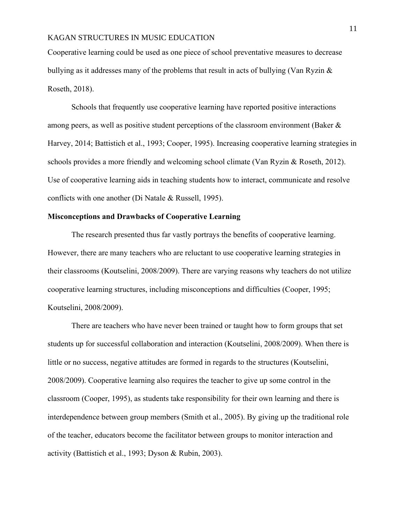Cooperative learning could be used as one piece of school preventative measures to decrease bullying as it addresses many of the problems that result in acts of bullying (Van Ryzin  $\&$ Roseth, 2018).

Schools that frequently use cooperative learning have reported positive interactions among peers, as well as positive student perceptions of the classroom environment (Baker & Harvey, 2014; Battistich et al., 1993; Cooper, 1995). Increasing cooperative learning strategies in schools provides a more friendly and welcoming school climate (Van Ryzin & Roseth, 2012). Use of cooperative learning aids in teaching students how to interact, communicate and resolve conflicts with one another (Di Natale & Russell, 1995).

#### **Misconceptions and Drawbacks of Cooperative Learning**

The research presented thus far vastly portrays the benefits of cooperative learning. However, there are many teachers who are reluctant to use cooperative learning strategies in their classrooms (Koutselini, 2008/2009). There are varying reasons why teachers do not utilize cooperative learning structures, including misconceptions and difficulties (Cooper, 1995; Koutselini, 2008/2009).

There are teachers who have never been trained or taught how to form groups that set students up for successful collaboration and interaction (Koutselini, 2008/2009). When there is little or no success, negative attitudes are formed in regards to the structures (Koutselini, 2008/2009). Cooperative learning also requires the teacher to give up some control in the classroom (Cooper, 1995), as students take responsibility for their own learning and there is interdependence between group members (Smith et al., 2005). By giving up the traditional role of the teacher, educators become the facilitator between groups to monitor interaction and activity (Battistich et al., 1993; Dyson & Rubin, 2003).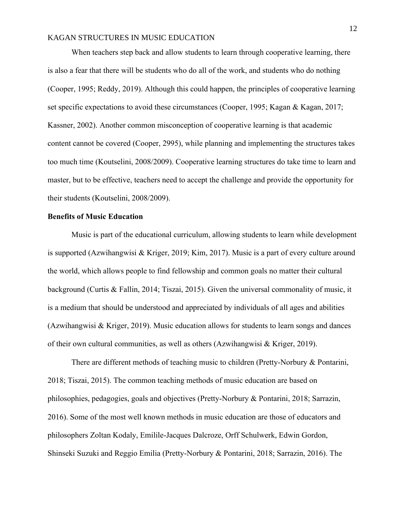When teachers step back and allow students to learn through cooperative learning, there is also a fear that there will be students who do all of the work, and students who do nothing (Cooper, 1995; Reddy, 2019). Although this could happen, the principles of cooperative learning set specific expectations to avoid these circumstances (Cooper, 1995; Kagan & Kagan, 2017; Kassner, 2002). Another common misconception of cooperative learning is that academic content cannot be covered (Cooper, 2995), while planning and implementing the structures takes too much time (Koutselini, 2008/2009). Cooperative learning structures do take time to learn and master, but to be effective, teachers need to accept the challenge and provide the opportunity for their students (Koutselini, 2008/2009).

#### **Benefits of Music Education**

Music is part of the educational curriculum, allowing students to learn while development is supported (Azwihangwisi & Kriger, 2019; Kim, 2017). Music is a part of every culture around the world, which allows people to find fellowship and common goals no matter their cultural background (Curtis & Fallin, 2014; Tiszai, 2015). Given the universal commonality of music, it is a medium that should be understood and appreciated by individuals of all ages and abilities (Azwihangwisi & Kriger, 2019). Music education allows for students to learn songs and dances of their own cultural communities, as well as others (Azwihangwisi & Kriger, 2019).

There are different methods of teaching music to children (Pretty-Norbury & Pontarini, 2018; Tiszai, 2015). The common teaching methods of music education are based on philosophies, pedagogies, goals and objectives (Pretty-Norbury & Pontarini, 2018; Sarrazin, 2016). Some of the most well known methods in music education are those of educators and philosophers Zoltan Kodaly, Emilile-Jacques Dalcroze, Orff Schulwerk, Edwin Gordon, Shinseki Suzuki and Reggio Emilia (Pretty-Norbury & Pontarini, 2018; Sarrazin, 2016). The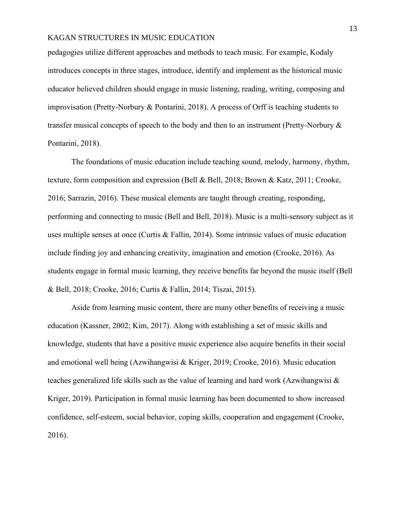pedagogies utilize different approaches and methods to teach music. For example, Kodaly introduces concepts in three stages, introduce, identify and implement as the historical music educator believed children should engage in music listening, reading, writing, composing and improvisation (Pretty-Norbury & Pontarini, 2018). A process of Orff is teaching students to transfer musical concepts of speech to the body and then to an instrument (Pretty-Norbury & Pontarini, 2018).

The foundations of music education include teaching sound, melody, harmony, rhythm, texture, form composition and expression (Bell & Bell, 2018; Brown & Katz, 2011; Crooke, 2016; Sarrazin, 2016). These musical elements are taught through creating, responding, performing and connecting to music (Bell and Bell, 2018). Music is a multi-sensory subject as it uses multiple senses at once (Curtis & Fallin, 2014). Some intrinsic values of music education include finding joy and enhancing creativity, imagination and emotion (Crooke, 2016). As students engage in formal music learning, they receive benefits far beyond the music itself (Bell & Bell, 2018; Crooke, 2016; Curtis & Fallin, 2014; Tiszai, 2015).

Aside from learning music content, there are many other benefits of receiving a music education (Kassner, 2002; Kim, 2017). Along with establishing a set of music skills and knowledge, students that have a positive music experience also acquire benefits in their social and emotional well being (Azwihangwisi & Kriger, 2019; Crooke, 2016). Music education teaches generalized life skills such as the value of learning and hard work (Azwihangwisi & Kriger, 2019). Participation in formal music learning has been documented to show increased confidence, self-esteem, social behavior, coping skills, cooperation and engagement (Crooke, 2016).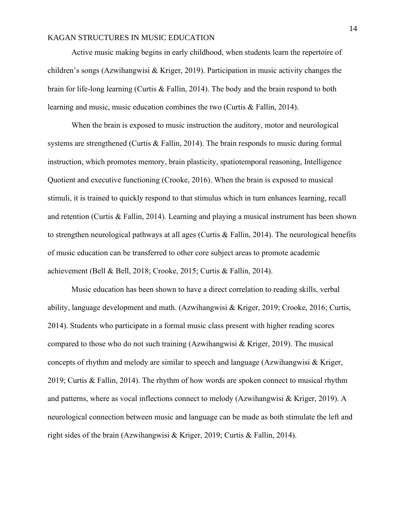Active music making begins in early childhood, when students learn the repertoire of children's songs (Azwihangwisi & Kriger, 2019). Participation in music activity changes the brain for life-long learning (Curtis & Fallin, 2014). The body and the brain respond to both learning and music, music education combines the two (Curtis & Fallin, 2014).

When the brain is exposed to music instruction the auditory, motor and neurological systems are strengthened (Curtis & Fallin, 2014). The brain responds to music during formal instruction, which promotes memory, brain plasticity, spatiotemporal reasoning, Intelligence Quotient and executive functioning (Crooke, 2016). When the brain is exposed to musical stimuli, it is trained to quickly respond to that stimulus which in turn enhances learning, recall and retention (Curtis & Fallin, 2014). Learning and playing a musical instrument has been shown to strengthen neurological pathways at all ages (Curtis & Fallin, 2014). The neurological benefits of music education can be transferred to other core subject areas to promote academic achievement (Bell & Bell, 2018; Crooke, 2015; Curtis & Fallin, 2014).

Music education has been shown to have a direct correlation to reading skills, verbal ability, language development and math. (Azwihangwisi & Kriger, 2019; Crooke, 2016; Curtis, 2014). Students who participate in a formal music class present with higher reading scores compared to those who do not such training (Azwihangwisi & Kriger, 2019). The musical concepts of rhythm and melody are similar to speech and language (Azwihangwisi  $\&$  Kriger, 2019; Curtis & Fallin, 2014). The rhythm of how words are spoken connect to musical rhythm and patterns, where as vocal inflections connect to melody (Azwihangwisi & Kriger, 2019). A neurological connection between music and language can be made as both stimulate the left and right sides of the brain (Azwihangwisi & Kriger, 2019; Curtis & Fallin, 2014).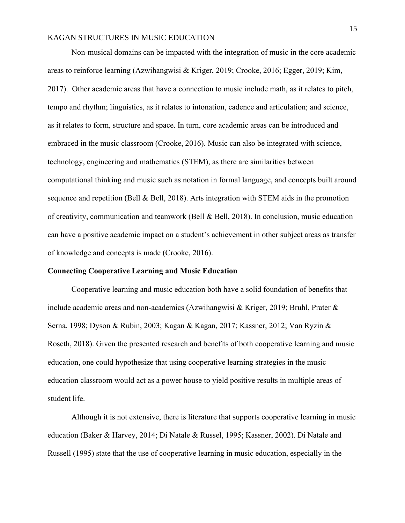Non-musical domains can be impacted with the integration of music in the core academic areas to reinforce learning (Azwihangwisi & Kriger, 2019; Crooke, 2016; Egger, 2019; Kim, 2017). Other academic areas that have a connection to music include math, as it relates to pitch, tempo and rhythm; linguistics, as it relates to intonation, cadence and articulation; and science, as it relates to form, structure and space. In turn, core academic areas can be introduced and embraced in the music classroom (Crooke, 2016). Music can also be integrated with science, technology, engineering and mathematics (STEM), as there are similarities between computational thinking and music such as notation in formal language, and concepts built around sequence and repetition (Bell & Bell, 2018). Arts integration with STEM aids in the promotion of creativity, communication and teamwork (Bell & Bell, 2018). In conclusion, music education can have a positive academic impact on a student's achievement in other subject areas as transfer of knowledge and concepts is made (Crooke, 2016).

#### **Connecting Cooperative Learning and Music Education**

Cooperative learning and music education both have a solid foundation of benefits that include academic areas and non-academics (Azwihangwisi & Kriger, 2019; Bruhl, Prater & Serna, 1998; Dyson & Rubin, 2003; Kagan & Kagan, 2017; Kassner, 2012; Van Ryzin & Roseth, 2018). Given the presented research and benefits of both cooperative learning and music education, one could hypothesize that using cooperative learning strategies in the music education classroom would act as a power house to yield positive results in multiple areas of student life.

Although it is not extensive, there is literature that supports cooperative learning in music education (Baker & Harvey, 2014; Di Natale & Russel, 1995; Kassner, 2002). Di Natale and Russell (1995) state that the use of cooperative learning in music education, especially in the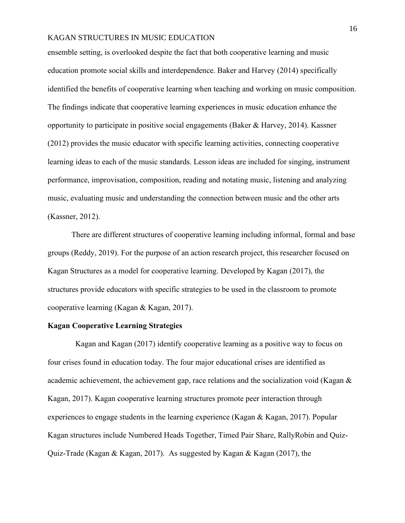ensemble setting, is overlooked despite the fact that both cooperative learning and music education promote social skills and interdependence. Baker and Harvey (2014) specifically identified the benefits of cooperative learning when teaching and working on music composition. The findings indicate that cooperative learning experiences in music education enhance the opportunity to participate in positive social engagements (Baker & Harvey, 2014). Kassner (2012) provides the music educator with specific learning activities, connecting cooperative learning ideas to each of the music standards. Lesson ideas are included for singing, instrument performance, improvisation, composition, reading and notating music, listening and analyzing music, evaluating music and understanding the connection between music and the other arts (Kassner, 2012).

There are different structures of cooperative learning including informal, formal and base groups (Reddy, 2019). For the purpose of an action research project, this researcher focused on Kagan Structures as a model for cooperative learning. Developed by Kagan (2017), the structures provide educators with specific strategies to be used in the classroom to promote cooperative learning (Kagan & Kagan, 2017).

### **Kagan Cooperative Learning Strategies**

 Kagan and Kagan (2017) identify cooperative learning as a positive way to focus on four crises found in education today. The four major educational crises are identified as academic achievement, the achievement gap, race relations and the socialization void (Kagan & Kagan, 2017). Kagan cooperative learning structures promote peer interaction through experiences to engage students in the learning experience (Kagan & Kagan, 2017). Popular Kagan structures include Numbered Heads Together, Timed Pair Share, RallyRobin and Quiz-Quiz-Trade (Kagan & Kagan, 2017). As suggested by Kagan & Kagan (2017), the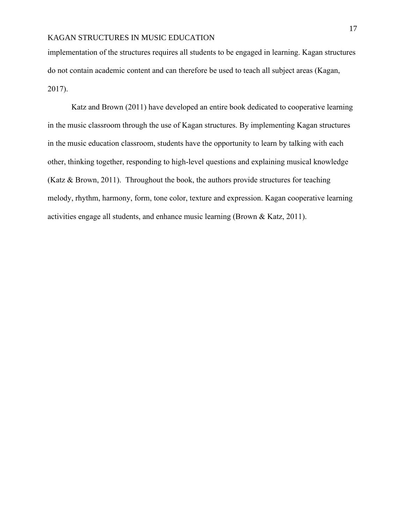implementation of the structures requires all students to be engaged in learning. Kagan structures do not contain academic content and can therefore be used to teach all subject areas (Kagan, 2017).

Katz and Brown (2011) have developed an entire book dedicated to cooperative learning in the music classroom through the use of Kagan structures. By implementing Kagan structures in the music education classroom, students have the opportunity to learn by talking with each other, thinking together, responding to high-level questions and explaining musical knowledge (Katz & Brown, 2011). Throughout the book, the authors provide structures for teaching melody, rhythm, harmony, form, tone color, texture and expression. Kagan cooperative learning activities engage all students, and enhance music learning (Brown & Katz, 2011).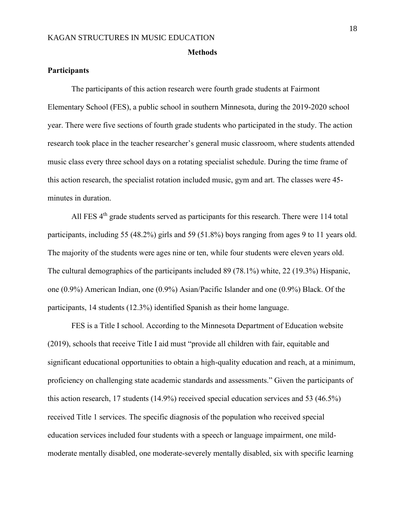#### **Methods**

## **Participants**

The participants of this action research were fourth grade students at Fairmont Elementary School (FES), a public school in southern Minnesota, during the 2019-2020 school year. There were five sections of fourth grade students who participated in the study. The action research took place in the teacher researcher's general music classroom, where students attended music class every three school days on a rotating specialist schedule. During the time frame of this action research, the specialist rotation included music, gym and art. The classes were 45 minutes in duration.

All FES 4<sup>th</sup> grade students served as participants for this research. There were 114 total participants, including 55 (48.2%) girls and 59 (51.8%) boys ranging from ages 9 to 11 years old. The majority of the students were ages nine or ten, while four students were eleven years old. The cultural demographics of the participants included 89 (78.1%) white, 22 (19.3%) Hispanic, one (0.9%) American Indian, one (0.9%) Asian/Pacific Islander and one (0.9%) Black. Of the participants, 14 students (12.3%) identified Spanish as their home language.

FES is a Title I school. According to the Minnesota Department of Education website (2019), schools that receive Title I aid must "provide all children with fair, equitable and significant educational opportunities to obtain a high-quality education and reach, at a minimum, proficiency on challenging state academic standards and assessments." Given the participants of this action research, 17 students (14.9%) received special education services and 53 (46.5%) received Title 1 services. The specific diagnosis of the population who received special education services included four students with a speech or language impairment, one mildmoderate mentally disabled, one moderate-severely mentally disabled, six with specific learning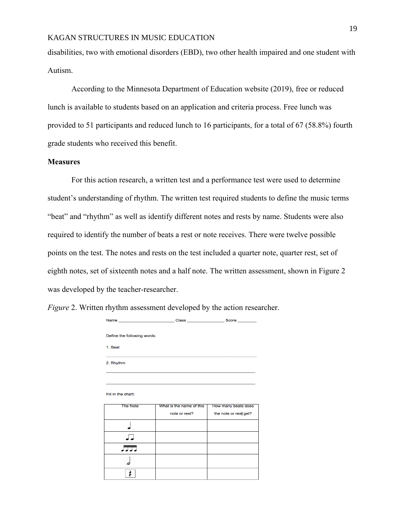disabilities, two with emotional disorders (EBD), two other health impaired and one student with Autism.

According to the Minnesota Department of Education website (2019), free or reduced lunch is available to students based on an application and criteria process. Free lunch was provided to 51 participants and reduced lunch to 16 participants, for a total of 67 (58.8%) fourth grade students who received this benefit.

## **Measures**

For this action research, a written test and a performance test were used to determine student's understanding of rhythm. The written test required students to define the music terms "beat" and "rhythm" as well as identify different notes and rests by name. Students were also required to identify the number of beats a rest or note receives. There were twelve possible points on the test. The notes and rests on the test included a quarter note, quarter rest, set of eighth notes, set of sixteenth notes and a half note. The written assessment, shown in Figure 2 was developed by the teacher-researcher.

| Define the following words: |                                           |                                              |
|-----------------------------|-------------------------------------------|----------------------------------------------|
| 1. Beat                     |                                           |                                              |
| 2. Rhythm                   |                                           |                                              |
|                             |                                           |                                              |
| Fill in the chart:          |                                           |                                              |
| <b>The Note</b>             | What is the name of this<br>note or rest? | How many beats does<br>the note or rest get? |
|                             |                                           |                                              |
|                             |                                           |                                              |
| 玩玩                          |                                           |                                              |
|                             |                                           |                                              |
| ≴                           |                                           |                                              |

*Figure* 2. Written rhythm assessment developed by the action researcher.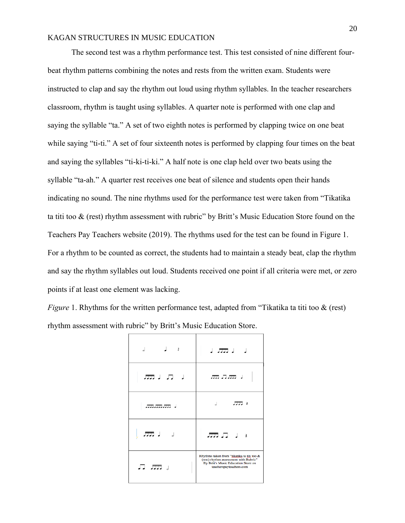The second test was a rhythm performance test. This test consisted of nine different fourbeat rhythm patterns combining the notes and rests from the written exam. Students were instructed to clap and say the rhythm out loud using rhythm syllables. In the teacher researchers classroom, rhythm is taught using syllables. A quarter note is performed with one clap and saying the syllable "ta." A set of two eighth notes is performed by clapping twice on one beat while saying "ti-ti." A set of four sixteenth notes is performed by clapping four times on the beat and saying the syllables "ti-ki-ti-ki." A half note is one clap held over two beats using the syllable "ta-ah." A quarter rest receives one beat of silence and students open their hands indicating no sound. The nine rhythms used for the performance test were taken from "Tikatika ta titi too & (rest) rhythm assessment with rubric" by Britt's Music Education Store found on the Teachers Pay Teachers website (2019). The rhythms used for the test can be found in Figure 1. For a rhythm to be counted as correct, the students had to maintain a steady beat, clap the rhythm and say the rhythm syllables out loud. Students received one point if all criteria were met, or zero points if at least one element was lacking.

*Figure* 1. Rhythms for the written performance test, adapted from "Tikatika ta titi too & (rest) rhythm assessment with rubric" by Britt's Music Education Store.

| ≴ لے<br>J                   | ا <del>س</del> تر ا                                                                                                                                   |
|-----------------------------|-------------------------------------------------------------------------------------------------------------------------------------------------------|
| ر תנה                       | 流兵流す                                                                                                                                                  |
| .                           | $\overline{a}$                                                                                                                                        |
| ار <del>برری</del> ر<br>- 1 | $\pi\pi$ , $\pi$                                                                                                                                      |
| 异 康 。                       | Rhythms taken from "tikatika ta titi too &<br>(rest) rhythm assessment with Rubric"<br>By Britt's Music Education Store on<br>teacherspayteachers.com |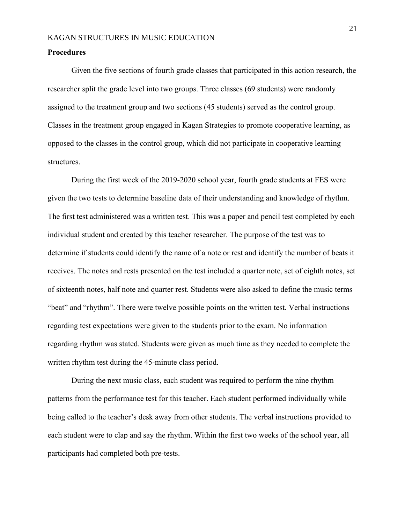#### **Procedures**

Given the five sections of fourth grade classes that participated in this action research, the researcher split the grade level into two groups. Three classes (69 students) were randomly assigned to the treatment group and two sections (45 students) served as the control group. Classes in the treatment group engaged in Kagan Strategies to promote cooperative learning, as opposed to the classes in the control group, which did not participate in cooperative learning structures.

During the first week of the 2019-2020 school year, fourth grade students at FES were given the two tests to determine baseline data of their understanding and knowledge of rhythm. The first test administered was a written test. This was a paper and pencil test completed by each individual student and created by this teacher researcher. The purpose of the test was to determine if students could identify the name of a note or rest and identify the number of beats it receives. The notes and rests presented on the test included a quarter note, set of eighth notes, set of sixteenth notes, half note and quarter rest. Students were also asked to define the music terms "beat" and "rhythm". There were twelve possible points on the written test. Verbal instructions regarding test expectations were given to the students prior to the exam. No information regarding rhythm was stated. Students were given as much time as they needed to complete the written rhythm test during the 45-minute class period.

During the next music class, each student was required to perform the nine rhythm patterns from the performance test for this teacher. Each student performed individually while being called to the teacher's desk away from other students. The verbal instructions provided to each student were to clap and say the rhythm. Within the first two weeks of the school year, all participants had completed both pre-tests.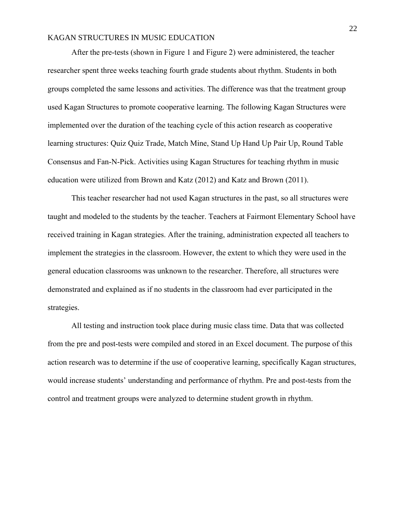After the pre-tests (shown in Figure 1 and Figure 2) were administered, the teacher researcher spent three weeks teaching fourth grade students about rhythm. Students in both groups completed the same lessons and activities. The difference was that the treatment group used Kagan Structures to promote cooperative learning. The following Kagan Structures were implemented over the duration of the teaching cycle of this action research as cooperative learning structures: Quiz Quiz Trade, Match Mine, Stand Up Hand Up Pair Up, Round Table Consensus and Fan-N-Pick. Activities using Kagan Structures for teaching rhythm in music education were utilized from Brown and Katz (2012) and Katz and Brown (2011).

This teacher researcher had not used Kagan structures in the past, so all structures were taught and modeled to the students by the teacher. Teachers at Fairmont Elementary School have received training in Kagan strategies. After the training, administration expected all teachers to implement the strategies in the classroom. However, the extent to which they were used in the general education classrooms was unknown to the researcher. Therefore, all structures were demonstrated and explained as if no students in the classroom had ever participated in the strategies.

All testing and instruction took place during music class time. Data that was collected from the pre and post-tests were compiled and stored in an Excel document. The purpose of this action research was to determine if the use of cooperative learning, specifically Kagan structures, would increase students' understanding and performance of rhythm. Pre and post-tests from the control and treatment groups were analyzed to determine student growth in rhythm.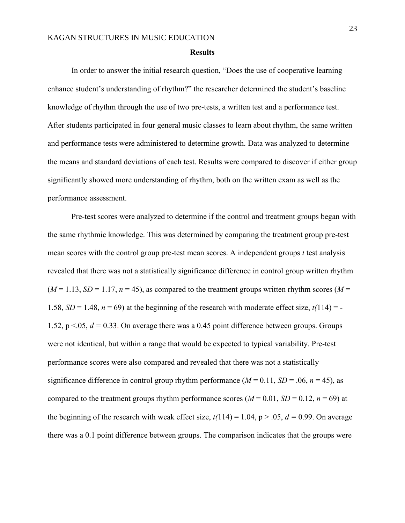#### **Results**

In order to answer the initial research question, "Does the use of cooperative learning enhance student's understanding of rhythm?" the researcher determined the student's baseline knowledge of rhythm through the use of two pre-tests, a written test and a performance test. After students participated in four general music classes to learn about rhythm, the same written and performance tests were administered to determine growth. Data was analyzed to determine the means and standard deviations of each test. Results were compared to discover if either group significantly showed more understanding of rhythm, both on the written exam as well as the performance assessment.

Pre-test scores were analyzed to determine if the control and treatment groups began with the same rhythmic knowledge. This was determined by comparing the treatment group pre-test mean scores with the control group pre-test mean scores. A independent groups *t* test analysis revealed that there was not a statistically significance difference in control group written rhythm  $(M = 1.13, SD = 1.17, n = 45)$ , as compared to the treatment groups written rhythm scores  $(M = 1.13, SD = 1.17, n = 45)$ 1.58,  $SD = 1.48$ ,  $n = 69$ ) at the beginning of the research with moderate effect size,  $t(114) = -$ 1.52,  $p \le 0.05$ ,  $d = 0.33$ . On average there was a 0.45 point difference between groups. Groups were not identical, but within a range that would be expected to typical variability. Pre-test performance scores were also compared and revealed that there was not a statistically significance difference in control group rhythm performance  $(M = 0.11, SD = .06, n = 45)$ , as compared to the treatment groups rhythm performance scores ( $M = 0.01$ ,  $SD = 0.12$ ,  $n = 69$ ) at the beginning of the research with weak effect size,  $t(114) = 1.04$ ,  $p > .05$ ,  $d = 0.99$ . On average there was a 0.1 point difference between groups. The comparison indicates that the groups were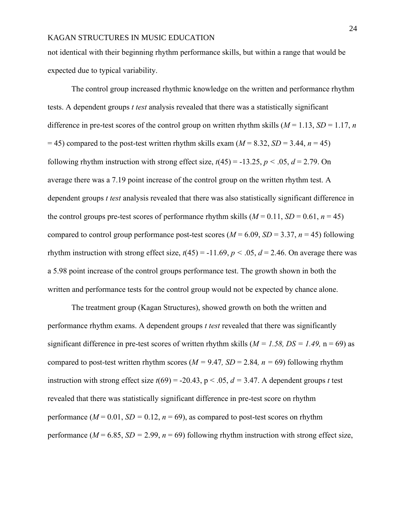not identical with their beginning rhythm performance skills, but within a range that would be expected due to typical variability.

The control group increased rhythmic knowledge on the written and performance rhythm tests. A dependent groups *t test* analysis revealed that there was a statistically significant difference in pre-test scores of the control group on written rhythm skills ( $M = 1.13$ ,  $SD = 1.17$ , *n*  $= 45$ ) compared to the post-test written rhythm skills exam ( $M = 8.32$ ,  $SD = 3.44$ ,  $n = 45$ ) following rhythm instruction with strong effect size,  $t(45) = -13.25$ ,  $p < .05$ ,  $d = 2.79$ . On average there was a 7.19 point increase of the control group on the written rhythm test. A dependent groups *t test* analysis revealed that there was also statistically significant difference in the control groups pre-test scores of performance rhythm skills  $(M = 0.11, SD = 0.61, n = 45)$ compared to control group performance post-test scores ( $M = 6.09$ ,  $SD = 3.37$ ,  $n = 45$ ) following rhythm instruction with strong effect size,  $t(45) = -11.69$ ,  $p < .05$ ,  $d = 2.46$ . On average there was a 5.98 point increase of the control groups performance test. The growth shown in both the written and performance tests for the control group would not be expected by chance alone.

The treatment group (Kagan Structures), showed growth on both the written and performance rhythm exams. A dependent groups *t test* revealed that there was significantly significant difference in pre-test scores of written rhythm skills (*M = 1.58, DS = 1.49,* n = 69) as compared to post-test written rhythm scores ( $M = 9.47$ ,  $SD = 2.84$ ,  $n = 69$ ) following rhythm instruction with strong effect size  $t(69) = -20.43$ ,  $p < .05$ ,  $d = 3.47$ . A dependent groups *t* test revealed that there was statistically significant difference in pre-test score on rhythm performance  $(M = 0.01, SD = 0.12, n = 69)$ , as compared to post-test scores on rhythm performance ( $M = 6.85$ ,  $SD = 2.99$ ,  $n = 69$ ) following rhythm instruction with strong effect size,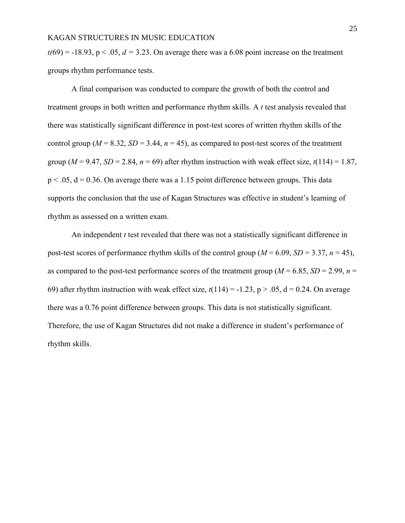$t(69) = -18.93$ ,  $p < .05$ ,  $d = 3.23$ . On average there was a 6.08 point increase on the treatment groups rhythm performance tests.

A final comparison was conducted to compare the growth of both the control and treatment groups in both written and performance rhythm skills. A *t* test analysis revealed that there was statistically significant difference in post-test scores of written rhythm skills of the control group ( $M = 8.32$ ,  $SD = 3.44$ ,  $n = 45$ ), as compared to post-test scores of the treatment group ( $M = 9.47$ ,  $SD = 2.84$ ,  $n = 69$ ) after rhythm instruction with weak effect size,  $t(114) = 1.87$ ,  $p < .05$ ,  $d = 0.36$ . On average there was a 1.15 point difference between groups. This data supports the conclusion that the use of Kagan Structures was effective in student's learning of rhythm as assessed on a written exam.

An independent *t* test revealed that there was not a statistically significant difference in post-test scores of performance rhythm skills of the control group ( $M = 6.09$ ,  $SD = 3.37$ ,  $n = 45$ ), as compared to the post-test performance scores of the treatment group ( $M = 6.85$ ,  $SD = 2.99$ ,  $n =$ 69) after rhythm instruction with weak effect size,  $t(114) = -1.23$ ,  $p > 0.05$ ,  $d = 0.24$ . On average there was a 0.76 point difference between groups. This data is not statistically significant. Therefore, the use of Kagan Structures did not make a difference in student's performance of rhythm skills.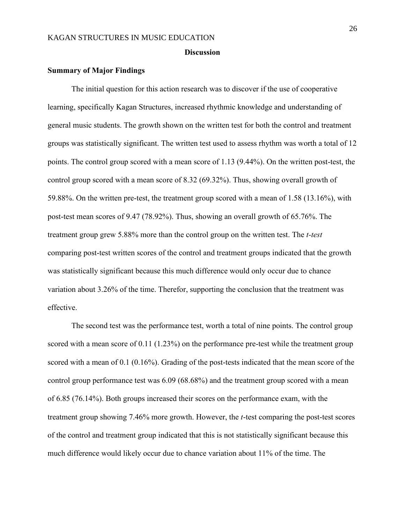#### **Discussion**

#### **Summary of Major Findings**

The initial question for this action research was to discover if the use of cooperative learning, specifically Kagan Structures, increased rhythmic knowledge and understanding of general music students. The growth shown on the written test for both the control and treatment groups was statistically significant. The written test used to assess rhythm was worth a total of 12 points. The control group scored with a mean score of 1.13 (9.44%). On the written post-test, the control group scored with a mean score of 8.32 (69.32%). Thus, showing overall growth of 59.88%. On the written pre-test, the treatment group scored with a mean of 1.58 (13.16%), with post-test mean scores of 9.47 (78.92%). Thus, showing an overall growth of 65.76%. The treatment group grew 5.88% more than the control group on the written test. The *t-test* comparing post-test written scores of the control and treatment groups indicated that the growth was statistically significant because this much difference would only occur due to chance variation about 3.26% of the time. Therefor, supporting the conclusion that the treatment was effective.

The second test was the performance test, worth a total of nine points. The control group scored with a mean score of  $0.11$  (1.23%) on the performance pre-test while the treatment group scored with a mean of 0.1 (0.16%). Grading of the post-tests indicated that the mean score of the control group performance test was 6.09 (68.68%) and the treatment group scored with a mean of 6.85 (76.14%). Both groups increased their scores on the performance exam, with the treatment group showing 7.46% more growth. However, the *t*-test comparing the post-test scores of the control and treatment group indicated that this is not statistically significant because this much difference would likely occur due to chance variation about 11% of the time. The

26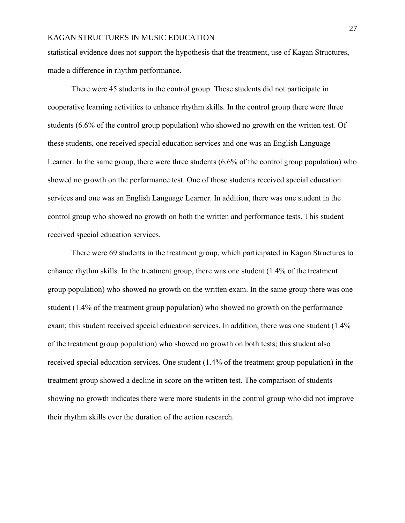statistical evidence does not support the hypothesis that the treatment, use of Kagan Structures, made a difference in rhythm performance.

There were 45 students in the control group. These students did not participate in cooperative learning activities to enhance rhythm skills. In the control group there were three students (6.6% of the control group population) who showed no growth on the written test. Of these students, one received special education services and one was an English Language Learner. In the same group, there were three students (6.6% of the control group population) who showed no growth on the performance test. One of those students received special education services and one was an English Language Learner. In addition, there was one student in the control group who showed no growth on both the written and performance tests. This student received special education services.

There were 69 students in the treatment group, which participated in Kagan Structures to enhance rhythm skills. In the treatment group, there was one student (1.4% of the treatment group population) who showed no growth on the written exam. In the same group there was one student (1.4% of the treatment group population) who showed no growth on the performance exam; this student received special education services. In addition, there was one student (1.4% of the treatment group population) who showed no growth on both tests; this student also received special education services. One student (1.4% of the treatment group population) in the treatment group showed a decline in score on the written test. The comparison of students showing no growth indicates there were more students in the control group who did not improve their rhythm skills over the duration of the action research.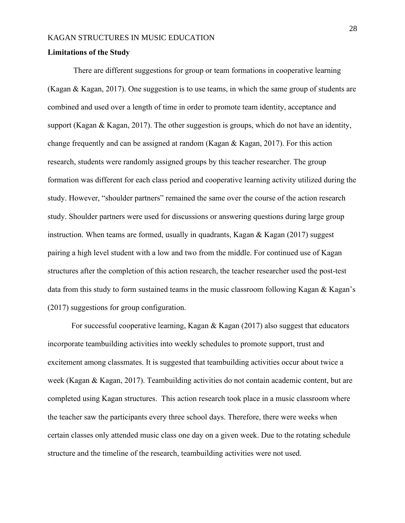#### **Limitations of the Study**

There are different suggestions for group or team formations in cooperative learning (Kagan & Kagan, 2017). One suggestion is to use teams, in which the same group of students are combined and used over a length of time in order to promote team identity, acceptance and support (Kagan & Kagan, 2017). The other suggestion is groups, which do not have an identity, change frequently and can be assigned at random (Kagan & Kagan, 2017). For this action research, students were randomly assigned groups by this teacher researcher. The group formation was different for each class period and cooperative learning activity utilized during the study. However, "shoulder partners" remained the same over the course of the action research study. Shoulder partners were used for discussions or answering questions during large group instruction. When teams are formed, usually in quadrants, Kagan  $\&$  Kagan (2017) suggest pairing a high level student with a low and two from the middle. For continued use of Kagan structures after the completion of this action research, the teacher researcher used the post-test data from this study to form sustained teams in the music classroom following Kagan & Kagan's (2017) suggestions for group configuration.

 For successful cooperative learning, Kagan & Kagan (2017) also suggest that educators incorporate teambuilding activities into weekly schedules to promote support, trust and excitement among classmates. It is suggested that teambuilding activities occur about twice a week (Kagan & Kagan, 2017). Teambuilding activities do not contain academic content, but are completed using Kagan structures. This action research took place in a music classroom where the teacher saw the participants every three school days. Therefore, there were weeks when certain classes only attended music class one day on a given week. Due to the rotating schedule structure and the timeline of the research, teambuilding activities were not used.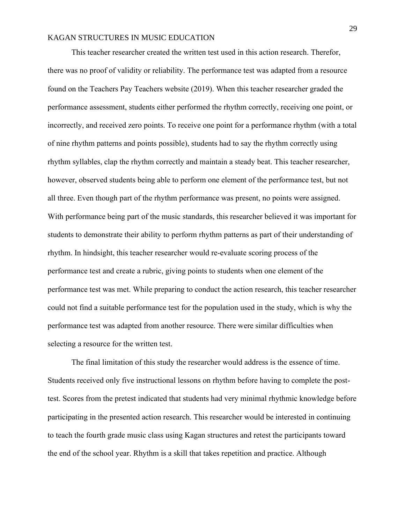This teacher researcher created the written test used in this action research. Therefor, there was no proof of validity or reliability. The performance test was adapted from a resource found on the Teachers Pay Teachers website (2019). When this teacher researcher graded the performance assessment, students either performed the rhythm correctly, receiving one point, or incorrectly, and received zero points. To receive one point for a performance rhythm (with a total of nine rhythm patterns and points possible), students had to say the rhythm correctly using rhythm syllables, clap the rhythm correctly and maintain a steady beat. This teacher researcher, however, observed students being able to perform one element of the performance test, but not all three. Even though part of the rhythm performance was present, no points were assigned. With performance being part of the music standards, this researcher believed it was important for students to demonstrate their ability to perform rhythm patterns as part of their understanding of rhythm. In hindsight, this teacher researcher would re-evaluate scoring process of the performance test and create a rubric, giving points to students when one element of the performance test was met. While preparing to conduct the action research, this teacher researcher could not find a suitable performance test for the population used in the study, which is why the performance test was adapted from another resource. There were similar difficulties when selecting a resource for the written test.

The final limitation of this study the researcher would address is the essence of time. Students received only five instructional lessons on rhythm before having to complete the posttest. Scores from the pretest indicated that students had very minimal rhythmic knowledge before participating in the presented action research. This researcher would be interested in continuing to teach the fourth grade music class using Kagan structures and retest the participants toward the end of the school year. Rhythm is a skill that takes repetition and practice. Although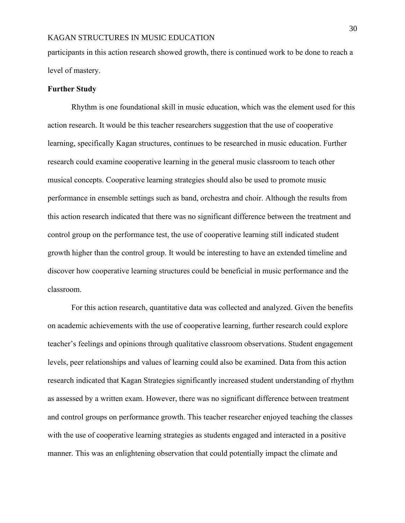participants in this action research showed growth, there is continued work to be done to reach a level of mastery.

#### **Further Study**

Rhythm is one foundational skill in music education, which was the element used for this action research. It would be this teacher researchers suggestion that the use of cooperative learning, specifically Kagan structures, continues to be researched in music education. Further research could examine cooperative learning in the general music classroom to teach other musical concepts. Cooperative learning strategies should also be used to promote music performance in ensemble settings such as band, orchestra and choir. Although the results from this action research indicated that there was no significant difference between the treatment and control group on the performance test, the use of cooperative learning still indicated student growth higher than the control group. It would be interesting to have an extended timeline and discover how cooperative learning structures could be beneficial in music performance and the classroom.

For this action research, quantitative data was collected and analyzed. Given the benefits on academic achievements with the use of cooperative learning, further research could explore teacher's feelings and opinions through qualitative classroom observations. Student engagement levels, peer relationships and values of learning could also be examined. Data from this action research indicated that Kagan Strategies significantly increased student understanding of rhythm as assessed by a written exam. However, there was no significant difference between treatment and control groups on performance growth. This teacher researcher enjoyed teaching the classes with the use of cooperative learning strategies as students engaged and interacted in a positive manner. This was an enlightening observation that could potentially impact the climate and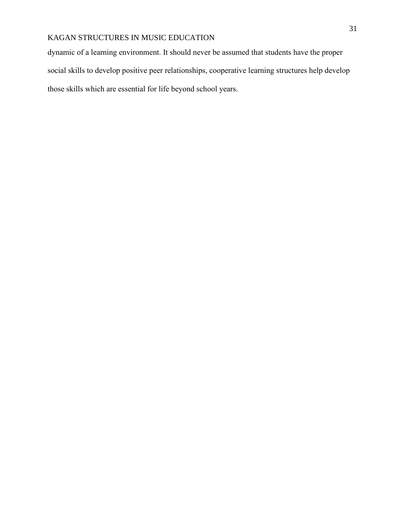dynamic of a learning environment. It should never be assumed that students have the proper social skills to develop positive peer relationships, cooperative learning structures help develop those skills which are essential for life beyond school years.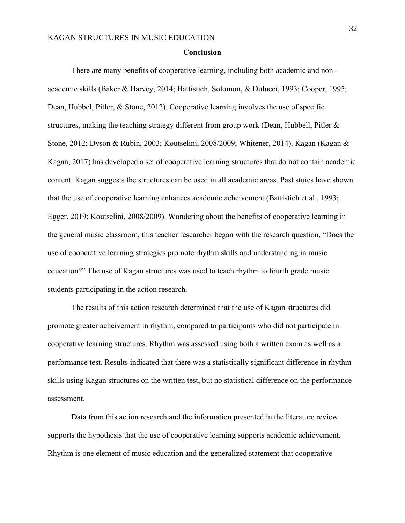#### **Conclusion**

There are many benefits of cooperative learning, including both academic and nonacademic skills (Baker & Harvey, 2014; Battistich, Solomon, & Dulucci, 1993; Cooper, 1995; Dean, Hubbel, Pitler, & Stone, 2012). Cooperative learning involves the use of specific structures, making the teaching strategy different from group work (Dean, Hubbell, Pitler & Stone, 2012; Dyson & Rubin, 2003; Koutselini, 2008/2009; Whitener, 2014). Kagan (Kagan & Kagan, 2017) has developed a set of cooperative learning structures that do not contain academic content. Kagan suggests the structures can be used in all academic areas. Past stuies have shown that the use of cooperative learning enhances academic acheivement (Battistich et al., 1993; Egger, 2019; Koutselini, 2008/2009). Wondering about the benefits of cooperative learning in the general music classroom, this teacher researcher began with the research question, "Does the use of cooperative learning strategies promote rhythm skills and understanding in music education?" The use of Kagan structures was used to teach rhythm to fourth grade music students participating in the action research.

The results of this action research determined that the use of Kagan structures did promote greater acheivement in rhythm, compared to participants who did not participate in cooperative learning structures. Rhythm was assessed using both a written exam as well as a performance test. Results indicated that there was a statistically significant difference in rhythm skills using Kagan structures on the written test, but no statistical difference on the performance assessment.

Data from this action research and the information presented in the literature review supports the hypothesis that the use of cooperative learning supports academic achievement. Rhythm is one element of music education and the generalized statement that cooperative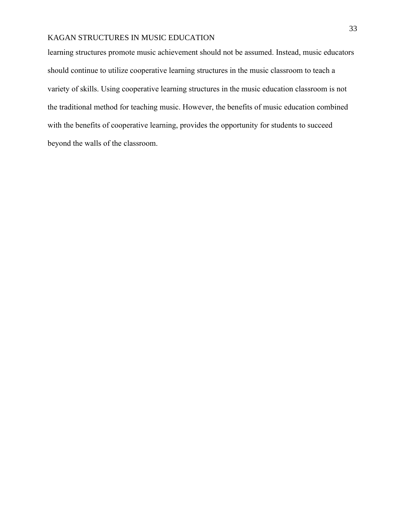learning structures promote music achievement should not be assumed. Instead, music educators should continue to utilize cooperative learning structures in the music classroom to teach a variety of skills. Using cooperative learning structures in the music education classroom is not the traditional method for teaching music. However, the benefits of music education combined with the benefits of cooperative learning, provides the opportunity for students to succeed beyond the walls of the classroom.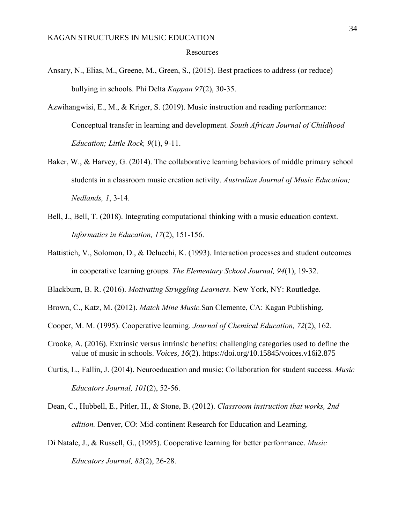#### Resources

- Ansary, N., Elias, M., Greene, M., Green, S., (2015). Best practices to address (or reduce) bullying in schools. Phi Delta *Kappan 97*(2), 30-35.
- Azwihangwisi, E., M., & Kriger, S. (2019). Music instruction and reading performance: Conceptual transfer in learning and development*. South African Journal of Childhood Education; Little Rock, 9*(1), 9-11.
- Baker, W., & Harvey, G. (2014). The collaborative learning behaviors of middle primary school students in a classroom music creation activity. *Australian Journal of Music Education; Nedlands, 1*, 3-14.
- Bell, J., Bell, T. (2018). Integrating computational thinking with a music education context. *Informatics in Education, 17*(2), 151-156.
- Battistich, V., Solomon, D., & Delucchi, K. (1993). Interaction processes and student outcomes in cooperative learning groups. *The Elementary School Journal, 94*(1), 19-32.
- Blackburn, B. R. (2016). *Motivating Struggling Learners.* New York, NY: Routledge.
- Brown, C., Katz, M. (2012). *Match Mine Music.*San Clemente, CA: Kagan Publishing.
- Cooper, M. M. (1995). Cooperative learning. *Journal of Chemical Education, 72*(2), 162.
- Crooke, A. (2016). Extrinsic versus intrinsic benefits: challenging categories used to define the value of music in schools. *Voices, 16*(2).<https://doi.org/10.15845/voices.v16i2.875>
- Curtis, L., Fallin, J. (2014). Neuroeducation and music: Collaboration for student success. *Music Educators Journal, 101*(2), 52-56.
- Dean, C., Hubbell, E., Pitler, H., & Stone, B. (2012). *Classroom instruction that works, 2nd edition.* Denver, CO: Mid-continent Research for Education and Learning.
- Di Natale, J., & Russell, G., (1995). Cooperative learning for better performance. *Music Educators Journal, 82*(2), 26-28.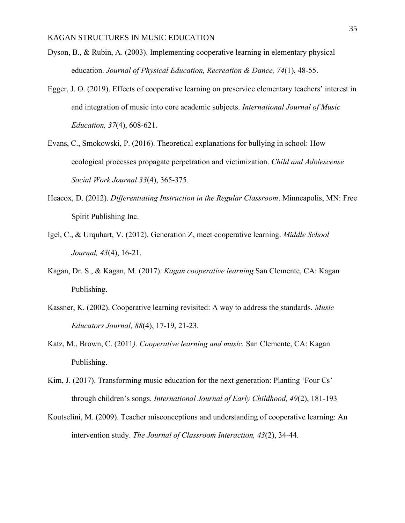- Dyson, B., & Rubin, A. (2003). Implementing cooperative learning in elementary physical education. *Journal of Physical Education, Recreation & Dance, 74*(1), 48-55.
- Egger, J. O. (2019). Effects of cooperative learning on preservice elementary teachers' interest in and integration of music into core academic subjects. *International Journal of Music Education, 37*(4), 608-621.
- Evans, C., Smokowski, P. (2016). Theoretical explanations for bullying in school: How ecological processes propagate perpetration and victimization. *Child and Adolescense Social Work Journal 33*(4), 365-375*.*
- Heacox, D. (2012). *Differentiating Instruction in the Regular Classroom*. Minneapolis, MN: Free Spirit Publishing Inc.
- Igel, C., & Urquhart, V. (2012). Generation Z, meet cooperative learning. *Middle School Journal, 43*(4), 16-21.
- Kagan, Dr. S., & Kagan, M. (2017). *Kagan cooperative learning.*San Clemente, CA: Kagan Publishing.
- Kassner, K. (2002). Cooperative learning revisited: A way to address the standards. *Music Educators Journal, 88*(4), 17-19, 21-23.
- Katz, M., Brown, C. (2011*). Cooperative learning and music.* San Clemente, CA: Kagan Publishing.
- Kim, J. (2017). Transforming music education for the next generation: Planting 'Four Cs' through children's songs. *International Journal of Early Childhood, 49*(2), 181-193
- Koutselini, M. (2009). Teacher misconceptions and understanding of cooperative learning: An intervention study. *The Journal of Classroom Interaction, 43*(2), 34-44.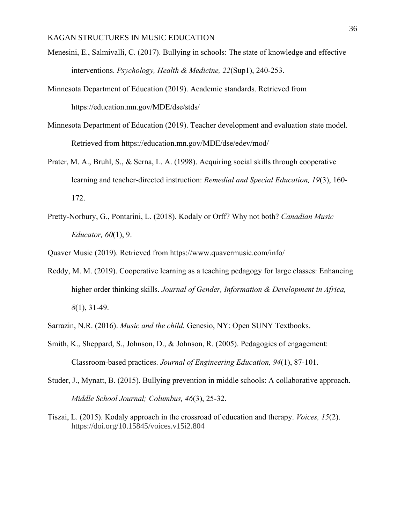- Menesini, E., Salmivalli, C. (2017). Bullying in schools: The state of knowledge and effective interventions. *Psychology, Health & Medicine, 22*(Sup1), 240-253.
- Minnesota Department of Education (2019). Academic standards. Retrieved from <https://education.mn.gov/MDE/dse/stds/>
- Minnesota Department of Education (2019). Teacher development and evaluation state model. Retrieved from https://education.mn.gov/MDE/dse/edev/mod/
- Prater, M. A., Bruhl, S., & Serna, L. A. (1998). Acquiring social skills through cooperative learning and teacher-directed instruction: *Remedial and Special Education, 19*(3), 160- 172.
- Pretty-Norbury, G., Pontarini, L. (2018). Kodaly or Orff? Why not both? *Canadian Music Educator, 60*(1), 9.

Quaver Music (2019). Retrieved from https://www.quavermusic.com/info/

Reddy, M. M. (2019). Cooperative learning as a teaching pedagogy for large classes: Enhancing higher order thinking skills. *Journal of Gender, Information & Development in Africa, 8*(1), 31-49.

Sarrazin, N.R. (2016). *Music and the child.* Genesio, NY: Open SUNY Textbooks.

- Smith, K., Sheppard, S., Johnson, D., & Johnson, R. (2005). Pedagogies of engagement: Classroom-based practices. *Journal of Engineering Education, 94*(1), 87-101.
- Studer, J., Mynatt, B. (2015). Bullying prevention in middle schools: A collaborative approach. *Middle School Journal; Columbus, 46*(3), 25-32.
- Tiszai, L. (2015). Kodaly approach in the crossroad of education and therapy. *Voices, 15*(2). https://doi.org/10.15845/voices.v15i2.804